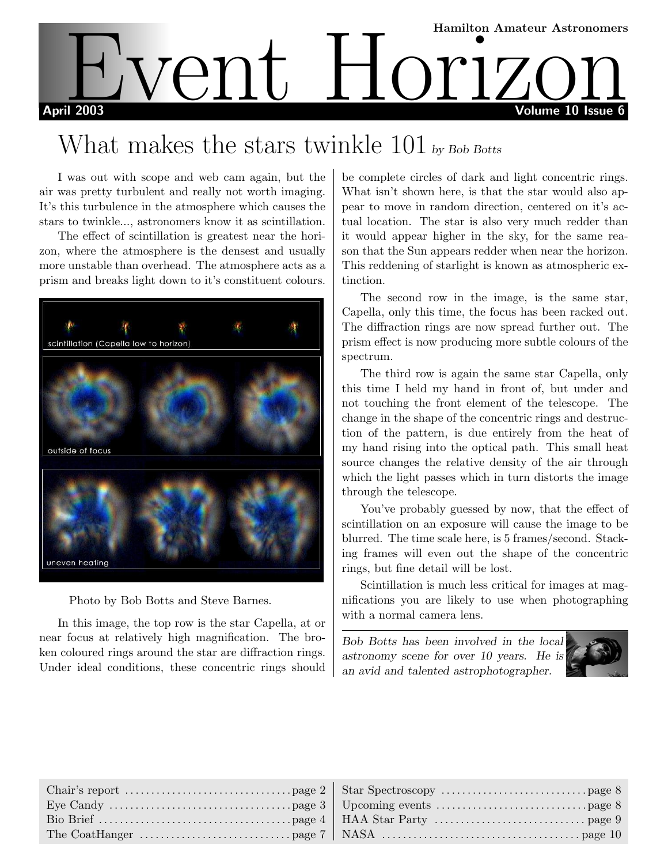

# What makes the stars twinkle 101 by Bob Botts

I was out with scope and web cam again, but the air was pretty turbulent and really not worth imaging. It's this turbulence in the atmosphere which causes the stars to twinkle..., astronomers know it as scintillation.

The effect of scintillation is greatest near the horizon, where the atmosphere is the densest and usually more unstable than overhead. The atmosphere acts as a prism and breaks light down to it's constituent colours.



Photo by Bob Botts and Steve Barnes.

In this image, the top row is the star Capella, at or near focus at relatively high magnification. The broken coloured rings around the star are diffraction rings. Under ideal conditions, these concentric rings should be complete circles of dark and light concentric rings. What isn't shown here, is that the star would also appear to move in random direction, centered on it's actual location. The star is also very much redder than it would appear higher in the sky, for the same reason that the Sun appears redder when near the horizon. This reddening of starlight is known as atmospheric extinction.

The second row in the image, is the same star, Capella, only this time, the focus has been racked out. The diffraction rings are now spread further out. The prism effect is now producing more subtle colours of the spectrum.

The third row is again the same star Capella, only this time I held my hand in front of, but under and not touching the front element of the telescope. The change in the shape of the concentric rings and destruction of the pattern, is due entirely from the heat of my hand rising into the optical path. This small heat source changes the relative density of the air through which the light passes which in turn distorts the image through the telescope.

You've probably guessed by now, that the effect of scintillation on an exposure will cause the image to be blurred. The time scale here, is 5 frames/second. Stacking frames will even out the shape of the concentric rings, but fine detail will be lost.

Scintillation is much less critical for images at magnifications you are likely to use when photographing with a normal camera lens.

Bob Botts has been involved in the local astronomy scene for over 10 years. He is an avid and talented astrophotographer.

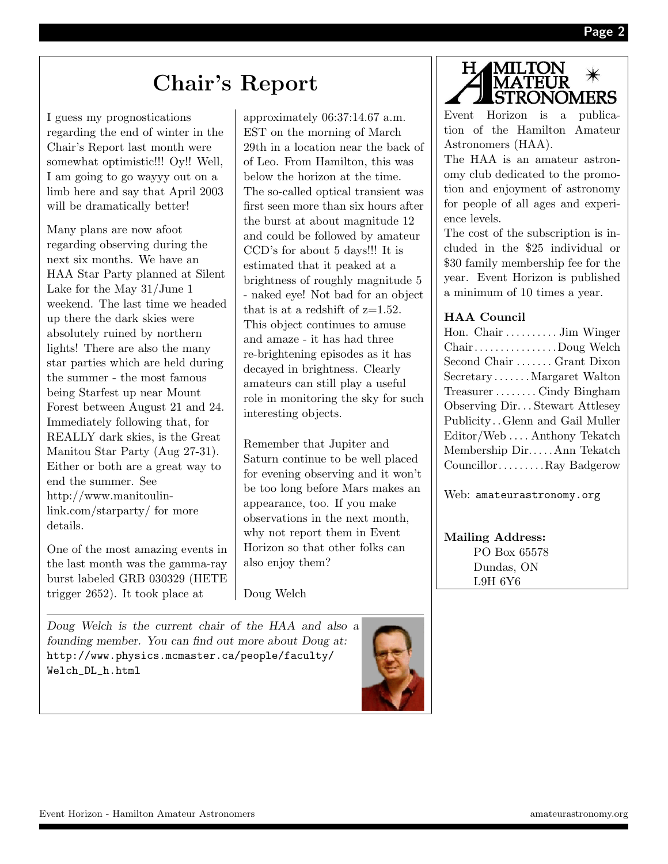# Chair's Report

I guess my prognostications regarding the end of winter in the Chair's Report last month were somewhat optimistic!!! Oy!! Well, I am going to go wayyy out on a limb here and say that April 2003 will be dramatically better!

Many plans are now afoot regarding observing during the next six months. We have an HAA Star Party planned at Silent Lake for the May 31/June 1 weekend. The last time we headed up there the dark skies were absolutely ruined by northern lights! There are also the many star parties which are held during the summer - the most famous being Starfest up near Mount Forest between August 21 and 24. Immediately following that, for REALLY dark skies, is the Great Manitou Star Party (Aug 27-31). Either or both are a great way to end the summer. See http://www.manitoulinlink.com/starparty/ for more details.

One of the most amazing events in the last month was the gamma-ray burst labeled GRB 030329 (HETE trigger 2652). It took place at

Doug Welch is the current chair of the HAA and also a founding member. You can find out more about Doug at: http://www.physics.mcmaster.ca/people/faculty/ Welch\_DL\_h.html

approximately 06:37:14.67 a.m. EST on the morning of March 29th in a location near the back of of Leo. From Hamilton, this was below the horizon at the time. The so-called optical transient was first seen more than six hours after the burst at about magnitude 12 and could be followed by amateur CCD's for about 5 days!!! It is estimated that it peaked at a brightness of roughly magnitude 5 - naked eye! Not bad for an object that is at a redshift of  $z=1.52$ . This object continues to amuse and amaze - it has had three re-brightening episodes as it has decayed in brightness. Clearly amateurs can still play a useful role in monitoring the sky for such interesting objects.

Remember that Jupiter and Saturn continue to be well placed for evening observing and it won't be too long before Mars makes an appearance, too. If you make observations in the next month, why not report them in Event Horizon so that other folks can also enjoy them?

Doug Welch



Event Horizon is a publication of the Hamilton Amateur Astronomers (HAA).

The HAA is an amateur astronomy club dedicated to the promotion and enjoyment of astronomy for people of all ages and experience levels.

The cost of the subscription is included in the \$25 individual or \$30 family membership fee for the year. Event Horizon is published a minimum of 10 times a year.

## HAA Council

| Hon. Chair  Jim Winger           |
|----------------------------------|
| ChairDoug Welch                  |
| Second Chair  Grant Dixon        |
| SecretaryMargaret Walton         |
| TreasurerCindy Bingham           |
| Observing Dir Stewart Attlesey   |
| Publicity. Glenn and Gail Muller |
| Editor/WebAnthony Tekatch        |
| Membership DirAnn Tekatch        |
| CouncillorRay Badgerow           |

Web: amateurastronomy.org

Mailing Address: PO Box 65578 Dundas, ON L9H 6Y6

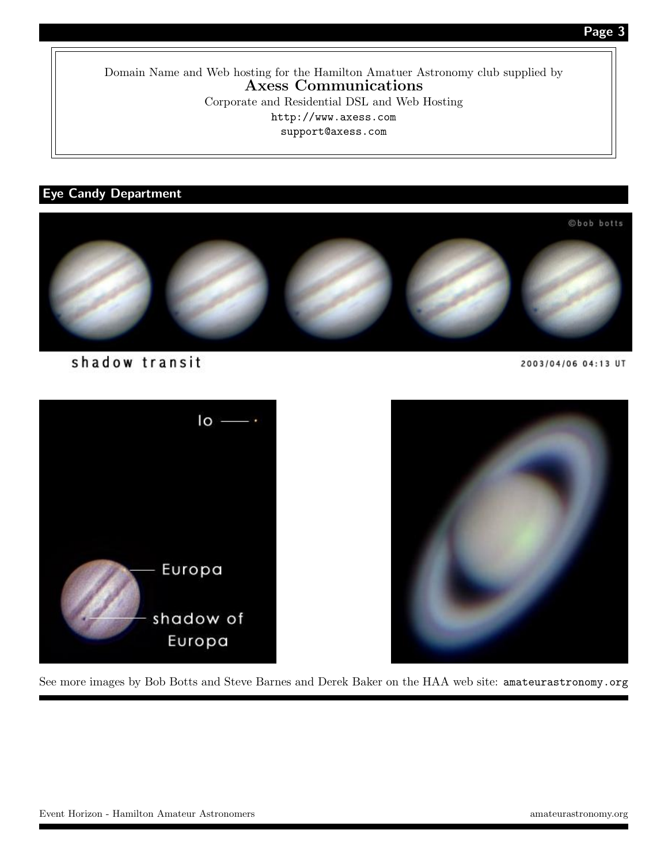Page 3

Domain Name and Web hosting for the Hamilton Amatuer Astronomy club supplied by Axess Communications Corporate and Residential DSL and Web Hosting http://www.axess.com support@axess.com

## Eye Candy Department



shadow transit

2003/04/06 04:13 UT



See more images by Bob Botts and Steve Barnes and Derek Baker on the HAA web site: amateurastronomy.org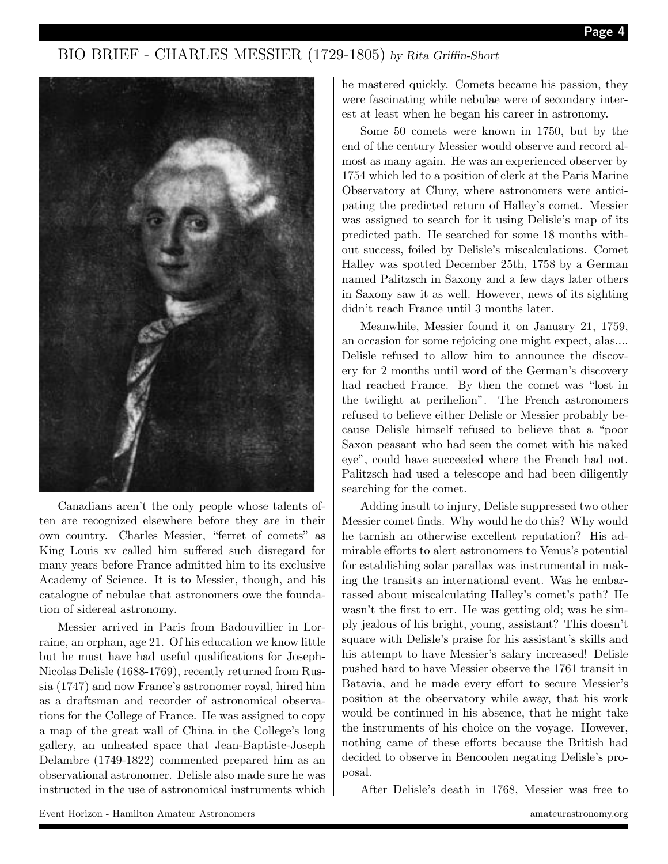## BIO BRIEF - CHARLES MESSIER (1729-1805) by Rita Griffin-Short



Canadians aren't the only people whose talents often are recognized elsewhere before they are in their own country. Charles Messier, "ferret of comets" as King Louis xv called him suffered such disregard for many years before France admitted him to its exclusive Academy of Science. It is to Messier, though, and his catalogue of nebulae that astronomers owe the foundation of sidereal astronomy.

Messier arrived in Paris from Badouvillier in Lorraine, an orphan, age 21. Of his education we know little but he must have had useful qualifications for Joseph-Nicolas Delisle (1688-1769), recently returned from Russia (1747) and now France's astronomer royal, hired him as a draftsman and recorder of astronomical observations for the College of France. He was assigned to copy a map of the great wall of China in the College's long gallery, an unheated space that Jean-Baptiste-Joseph Delambre (1749-1822) commented prepared him as an observational astronomer. Delisle also made sure he was instructed in the use of astronomical instruments which he mastered quickly. Comets became his passion, they were fascinating while nebulae were of secondary interest at least when he began his career in astronomy.

Some 50 comets were known in 1750, but by the end of the century Messier would observe and record almost as many again. He was an experienced observer by 1754 which led to a position of clerk at the Paris Marine Observatory at Cluny, where astronomers were anticipating the predicted return of Halley's comet. Messier was assigned to search for it using Delisle's map of its predicted path. He searched for some 18 months without success, foiled by Delisle's miscalculations. Comet Halley was spotted December 25th, 1758 by a German named Palitzsch in Saxony and a few days later others in Saxony saw it as well. However, news of its sighting didn't reach France until 3 months later.

Meanwhile, Messier found it on January 21, 1759, an occasion for some rejoicing one might expect, alas.... Delisle refused to allow him to announce the discovery for 2 months until word of the German's discovery had reached France. By then the comet was "lost in the twilight at perihelion". The French astronomers refused to believe either Delisle or Messier probably because Delisle himself refused to believe that a "poor Saxon peasant who had seen the comet with his naked eye", could have succeeded where the French had not. Palitzsch had used a telescope and had been diligently searching for the comet.

Adding insult to injury, Delisle suppressed two other Messier comet finds. Why would he do this? Why would he tarnish an otherwise excellent reputation? His admirable efforts to alert astronomers to Venus's potential for establishing solar parallax was instrumental in making the transits an international event. Was he embarrassed about miscalculating Halley's comet's path? He wasn't the first to err. He was getting old; was he simply jealous of his bright, young, assistant? This doesn't square with Delisle's praise for his assistant's skills and his attempt to have Messier's salary increased! Delisle pushed hard to have Messier observe the 1761 transit in Batavia, and he made every effort to secure Messier's position at the observatory while away, that his work would be continued in his absence, that he might take the instruments of his choice on the voyage. However, nothing came of these efforts because the British had decided to observe in Bencoolen negating Delisle's proposal.

After Delisle's death in 1768, Messier was free to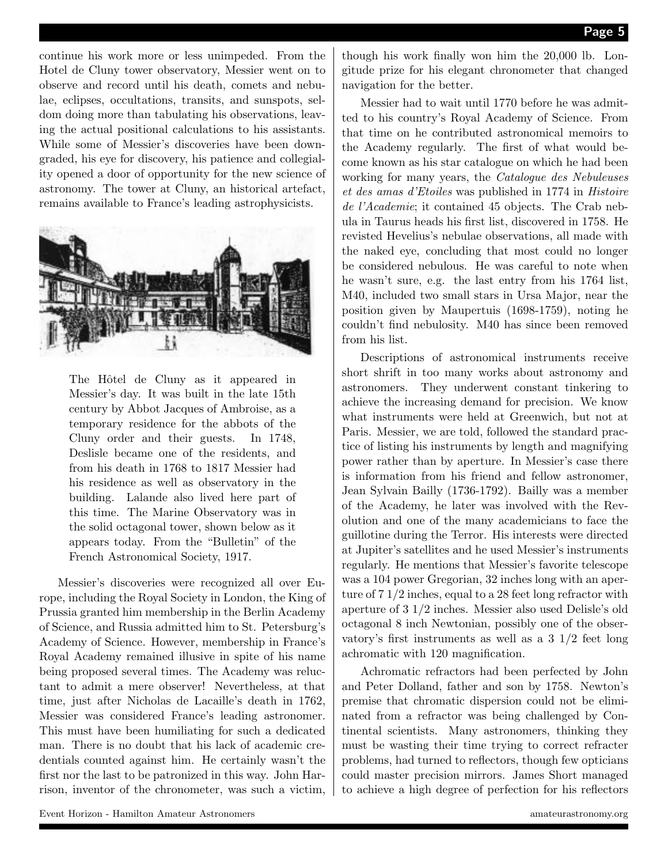continue his work more or less unimpeded. From the Hotel de Cluny tower observatory, Messier went on to observe and record until his death, comets and nebulae, eclipses, occultations, transits, and sunspots, seldom doing more than tabulating his observations, leaving the actual positional calculations to his assistants. While some of Messier's discoveries have been downgraded, his eye for discovery, his patience and collegiality opened a door of opportunity for the new science of astronomy. The tower at Cluny, an historical artefact, remains available to France's leading astrophysicists.



The Hôtel de Cluny as it appeared in Messier's day. It was built in the late 15th century by Abbot Jacques of Ambroise, as a temporary residence for the abbots of the Cluny order and their guests. In 1748, Deslisle became one of the residents, and from his death in 1768 to 1817 Messier had his residence as well as observatory in the building. Lalande also lived here part of this time. The Marine Observatory was in the solid octagonal tower, shown below as it appears today. From the "Bulletin" of the French Astronomical Society, 1917.

Messier's discoveries were recognized all over Europe, including the Royal Society in London, the King of Prussia granted him membership in the Berlin Academy of Science, and Russia admitted him to St. Petersburg's Academy of Science. However, membership in France's Royal Academy remained illusive in spite of his name being proposed several times. The Academy was reluctant to admit a mere observer! Nevertheless, at that time, just after Nicholas de Lacaille's death in 1762, Messier was considered France's leading astronomer. This must have been humiliating for such a dedicated man. There is no doubt that his lack of academic credentials counted against him. He certainly wasn't the first nor the last to be patronized in this way. John Harrison, inventor of the chronometer, was such a victim, though his work finally won him the 20,000 lb. Longitude prize for his elegant chronometer that changed navigation for the better.

Messier had to wait until 1770 before he was admitted to his country's Royal Academy of Science. From that time on he contributed astronomical memoirs to the Academy regularly. The first of what would become known as his star catalogue on which he had been working for many years, the Catalogue des Nebuleuses et des amas d'Etoiles was published in 1774 in Histoire de l'Academie; it contained 45 objects. The Crab nebula in Taurus heads his first list, discovered in 1758. He revisted Hevelius's nebulae observations, all made with the naked eye, concluding that most could no longer be considered nebulous. He was careful to note when he wasn't sure, e.g. the last entry from his 1764 list, M40, included two small stars in Ursa Major, near the position given by Maupertuis (1698-1759), noting he couldn't find nebulosity. M40 has since been removed from his list.

Descriptions of astronomical instruments receive short shrift in too many works about astronomy and astronomers. They underwent constant tinkering to achieve the increasing demand for precision. We know what instruments were held at Greenwich, but not at Paris. Messier, we are told, followed the standard practice of listing his instruments by length and magnifying power rather than by aperture. In Messier's case there is information from his friend and fellow astronomer, Jean Sylvain Bailly (1736-1792). Bailly was a member of the Academy, he later was involved with the Revolution and one of the many academicians to face the guillotine during the Terror. His interests were directed at Jupiter's satellites and he used Messier's instruments regularly. He mentions that Messier's favorite telescope was a 104 power Gregorian, 32 inches long with an aperture of 7 1/2 inches, equal to a 28 feet long refractor with aperture of 3 1/2 inches. Messier also used Delisle's old octagonal 8 inch Newtonian, possibly one of the observatory's first instruments as well as a 3 1/2 feet long achromatic with 120 magnification.

Achromatic refractors had been perfected by John and Peter Dolland, father and son by 1758. Newton's premise that chromatic dispersion could not be eliminated from a refractor was being challenged by Continental scientists. Many astronomers, thinking they must be wasting their time trying to correct refracter problems, had turned to reflectors, though few opticians could master precision mirrors. James Short managed to achieve a high degree of perfection for his reflectors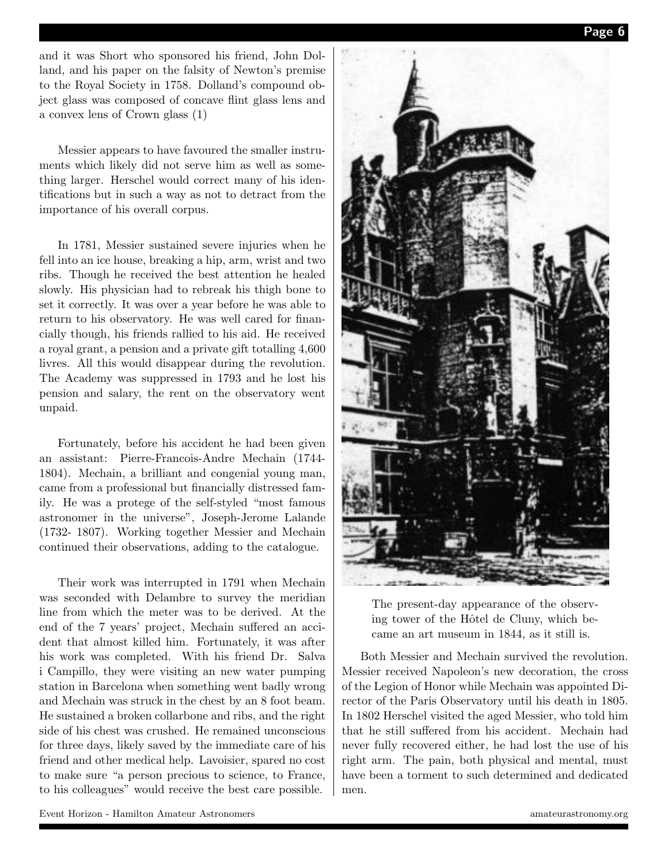and it was Short who sponsored his friend, John Dolland, and his paper on the falsity of Newton's premise to the Royal Society in 1758. Dolland's compound object glass was composed of concave flint glass lens and a convex lens of Crown glass (1)

Messier appears to have favoured the smaller instruments which likely did not serve him as well as something larger. Herschel would correct many of his identifications but in such a way as not to detract from the importance of his overall corpus.

In 1781, Messier sustained severe injuries when he fell into an ice house, breaking a hip, arm, wrist and two ribs. Though he received the best attention he healed slowly. His physician had to rebreak his thigh bone to set it correctly. It was over a year before he was able to return to his observatory. He was well cared for financially though, his friends rallied to his aid. He received a royal grant, a pension and a private gift totalling 4,600 livres. All this would disappear during the revolution. The Academy was suppressed in 1793 and he lost his pension and salary, the rent on the observatory went unpaid.

Fortunately, before his accident he had been given an assistant: Pierre-Francois-Andre Mechain (1744- 1804). Mechain, a brilliant and congenial young man, came from a professional but financially distressed family. He was a protege of the self-styled "most famous astronomer in the universe", Joseph-Jerome Lalande (1732- 1807). Working together Messier and Mechain continued their observations, adding to the catalogue.

Their work was interrupted in 1791 when Mechain was seconded with Delambre to survey the meridian line from which the meter was to be derived. At the end of the 7 years' project, Mechain suffered an accident that almost killed him. Fortunately, it was after his work was completed. With his friend Dr. Salva i Campillo, they were visiting an new water pumping station in Barcelona when something went badly wrong and Mechain was struck in the chest by an 8 foot beam. He sustained a broken collarbone and ribs, and the right side of his chest was crushed. He remained unconscious for three days, likely saved by the immediate care of his friend and other medical help. Lavoisier, spared no cost to make sure "a person precious to science, to France, to his colleagues" would receive the best care possible.



The present-day appearance of the observing tower of the Hôtel de Cluny, which became an art museum in 1844, as it still is.

Both Messier and Mechain survived the revolution. Messier received Napoleon's new decoration, the cross of the Legion of Honor while Mechain was appointed Director of the Paris Observatory until his death in 1805. In 1802 Herschel visited the aged Messier, who told him that he still suffered from his accident. Mechain had never fully recovered either, he had lost the use of his right arm. The pain, both physical and mental, must have been a torment to such determined and dedicated men.

Event Horizon - Hamilton Amateur Astronomers amateurastronomy.org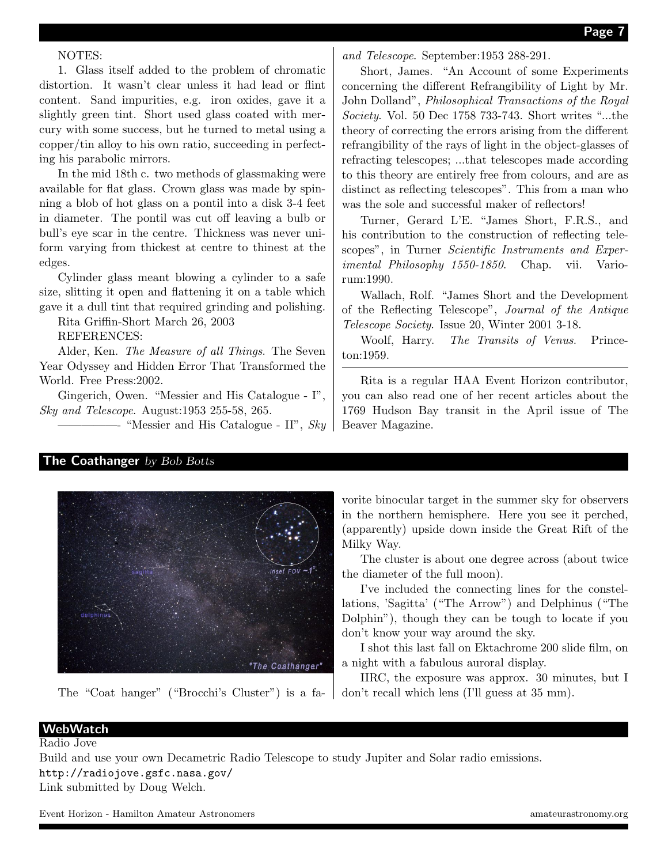### NOTES:

1. Glass itself added to the problem of chromatic distortion. It wasn't clear unless it had lead or flint content. Sand impurities, e.g. iron oxides, gave it a slightly green tint. Short used glass coated with mercury with some success, but he turned to metal using a copper/tin alloy to his own ratio, succeeding in perfecting his parabolic mirrors.

In the mid 18th c. two methods of glassmaking were available for flat glass. Crown glass was made by spinning a blob of hot glass on a pontil into a disk 3-4 feet in diameter. The pontil was cut off leaving a bulb or bull's eye scar in the centre. Thickness was never uniform varying from thickest at centre to thinest at the edges.

Cylinder glass meant blowing a cylinder to a safe size, slitting it open and flattening it on a table which gave it a dull tint that required grinding and polishing.

Rita Griffin-Short March 26, 2003

REFERENCES:

Alder, Ken. The Measure of all Things. The Seven Year Odyssey and Hidden Error That Transformed the World. Free Press:2002.

Gingerich, Owen. "Messier and His Catalogue - I", Sky and Telescope. August:1953 255-58, 265.

 $-$  "Messier and His Catalogue - II", Sky

and Telescope. September:1953 288-291.

Short, James. "An Account of some Experiments concerning the different Refrangibility of Light by Mr. John Dolland", Philosophical Transactions of the Royal Society. Vol. 50 Dec 1758 733-743. Short writes "...the theory of correcting the errors arising from the different refrangibility of the rays of light in the object-glasses of refracting telescopes; ...that telescopes made according to this theory are entirely free from colours, and are as distinct as reflecting telescopes". This from a man who was the sole and successful maker of reflectors!

Turner, Gerard L'E. "James Short, F.R.S., and his contribution to the construction of reflecting telescopes", in Turner *Scientific Instruments and Exper*imental Philosophy 1550-1850. Chap. vii. Variorum:1990.

Wallach, Rolf. "James Short and the Development of the Reflecting Telescope", Journal of the Antique Telescope Society. Issue 20, Winter 2001 3-18.

Woolf, Harry. The Transits of Venus. Princeton:1959.

Rita is a regular HAA Event Horizon contributor, you can also read one of her recent articles about the 1769 Hudson Bay transit in the April issue of The Beaver Magazine.

## The Coathanger by Bob Botts



The "Coat hanger" ("Brocchi's Cluster") is a fa-

vorite binocular target in the summer sky for observers in the northern hemisphere. Here you see it perched, (apparently) upside down inside the Great Rift of the Milky Way.

The cluster is about one degree across (about twice the diameter of the full moon).

I've included the connecting lines for the constellations, 'Sagitta' ("The Arrow") and Delphinus ("The Dolphin"), though they can be tough to locate if you don't know your way around the sky.

I shot this last fall on Ektachrome 200 slide film, on a night with a fabulous auroral display.

IIRC, the exposure was approx. 30 minutes, but I don't recall which lens (I'll guess at 35 mm).

#### **WebWatch** Radio Jove

Build and use your own Decametric Radio Telescope to study Jupiter and Solar radio emissions. http://radiojove.gsfc.nasa.gov/

Link submitted by Doug Welch.

Event Horizon - Hamilton Amateur Astronomers amateurastronomy.org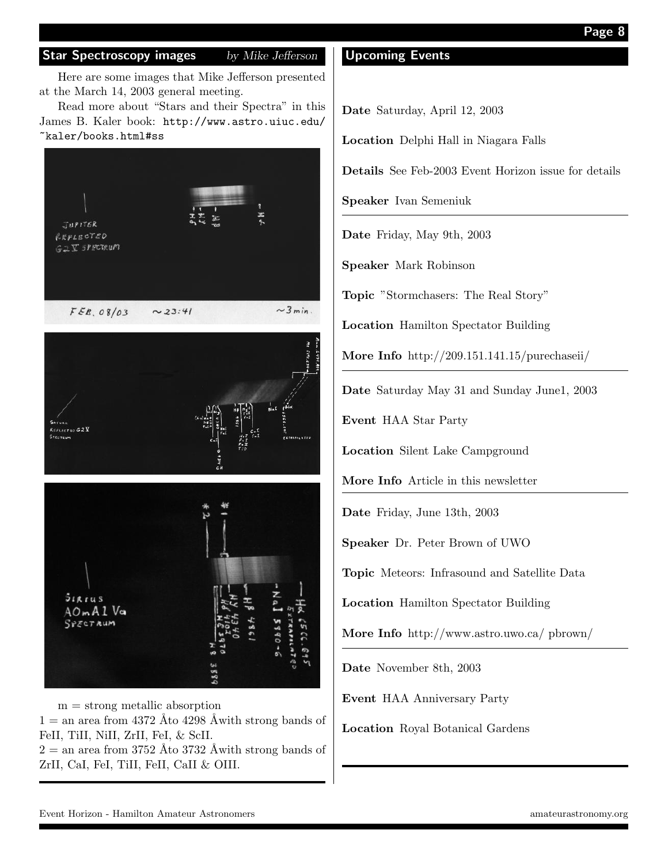Here are some images that Mike Jefferson presented at the March 14, 2003 general meeting.

Read more about "Stars and their Spectra" in this James B. Kaler book: http://www.astro.uiuc.edu/ ~kaler/books.html#ss





 $m =$  strong metallic absorption  $1 =$  an area from 4372 Åto 4298 Åwith strong bands of FeII, TiII, NiII, ZrII, FeI, & ScII.  $2 =$  an area from 3752 Åto 3732 Åwith strong bands of ZrII, CaI, FeI, TiII, FeII, CaII & OIII.

## Upcoming Events

Date Saturday, April 12, 2003

Location Delphi Hall in Niagara Falls

Details See Feb-2003 Event Horizon issue for details

Speaker Ivan Semeniuk

Date Friday, May 9th, 2003

Speaker Mark Robinson

Topic "Stormchasers: The Real Story"

Location Hamilton Spectator Building

More Info http://209.151.141.15/purechaseii/

Date Saturday May 31 and Sunday June1, 2003

Event HAA Star Party

Location Silent Lake Campground

More Info Article in this newsletter

Date Friday, June 13th, 2003

Speaker Dr. Peter Brown of UWO

Topic Meteors: Infrasound and Satellite Data

Location Hamilton Spectator Building

More Info http://www.astro.uwo.ca/ pbrown/

Date November 8th, 2003

Event HAA Anniversary Party

Location Royal Botanical Gardens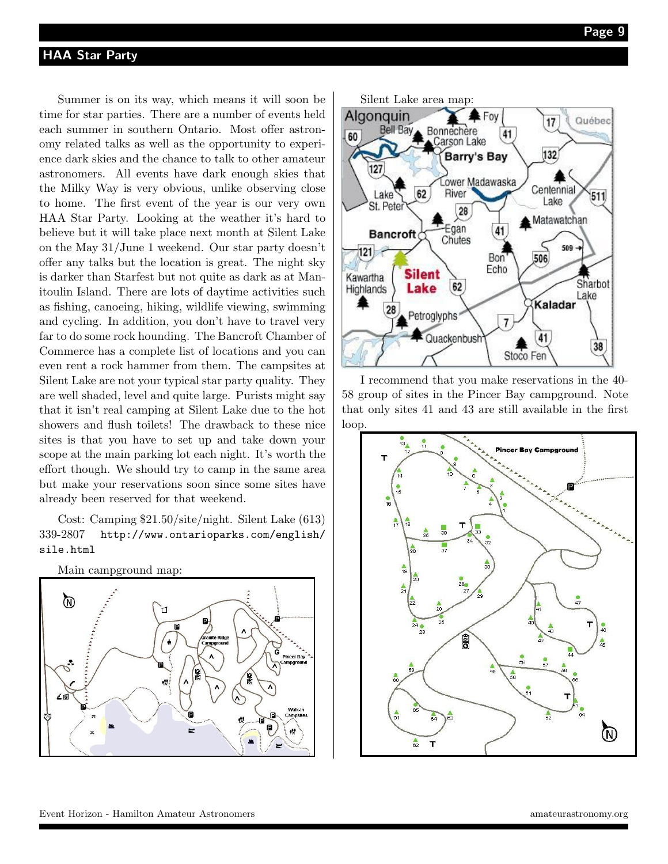Summer is on its way, which means it will soon be time for star parties. There are a number of events held each summer in southern Ontario. Most offer astronomy related talks as well as the opportunity to experience dark skies and the chance to talk to other amateur astronomers. All events have dark enough skies that the Milky Way is very obvious, unlike observing close to home. The first event of the year is our very own HAA Star Party. Looking at the weather it's hard to believe but it will take place next month at Silent Lake on the May 31/June 1 weekend. Our star party doesn't offer any talks but the location is great. The night sky is darker than Starfest but not quite as dark as at Manitoulin Island. There are lots of daytime activities such as fishing, canoeing, hiking, wildlife viewing, swimming and cycling. In addition, you don't have to travel very far to do some rock hounding. The Bancroft Chamber of Commerce has a complete list of locations and you can even rent a rock hammer from them. The campsites at Silent Lake are not your typical star party quality. They are well shaded, level and quite large. Purists might say that it isn't real camping at Silent Lake due to the hot showers and flush toilets! The drawback to these nice sites is that you have to set up and take down your scope at the main parking lot each night. It's worth the effort though. We should try to camp in the same area but make your reservations soon since some sites have already been reserved for that weekend.

Cost: Camping \$21.50/site/night. Silent Lake (613) 339-2807 http://www.ontarioparks.com/english/ sile.html







I recommend that you make reservations in the 40- 58 group of sites in the Pincer Bay campground. Note that only sites 41 and 43 are still available in the first loop.

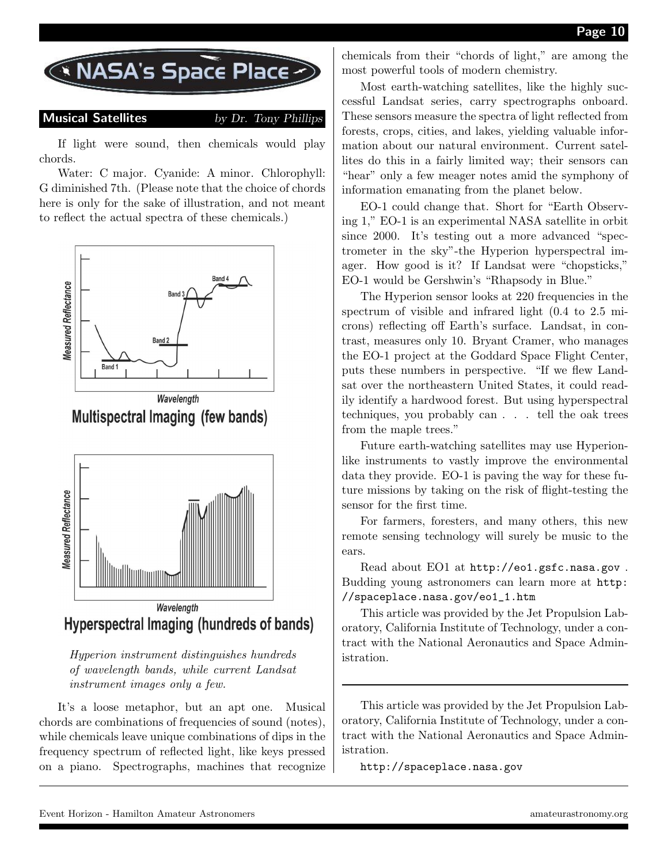

Musical Satellites by Dr. Tony Phillips

If light were sound, then chemicals would play chords.

Water: C major. Cyanide: A minor. Chlorophyll: G diminished 7th. (Please note that the choice of chords here is only for the sake of illustration, and not meant to reflect the actual spectra of these chemicals.)



**Multispectral Imaging (few bands)** 



Hyperion instrument distinguishes hundreds of wavelength bands, while current Landsat instrument images only a few.

It's a loose metaphor, but an apt one. Musical chords are combinations of frequencies of sound (notes), while chemicals leave unique combinations of dips in the frequency spectrum of reflected light, like keys pressed on a piano. Spectrographs, machines that recognize chemicals from their "chords of light," are among the most powerful tools of modern chemistry.

Most earth-watching satellites, like the highly successful Landsat series, carry spectrographs onboard. These sensors measure the spectra of light reflected from forests, crops, cities, and lakes, yielding valuable information about our natural environment. Current satellites do this in a fairly limited way; their sensors can "hear" only a few meager notes amid the symphony of information emanating from the planet below.

EO-1 could change that. Short for "Earth Observing 1," EO-1 is an experimental NASA satellite in orbit since 2000. It's testing out a more advanced "spectrometer in the sky"-the Hyperion hyperspectral imager. How good is it? If Landsat were "chopsticks," EO-1 would be Gershwin's "Rhapsody in Blue."

The Hyperion sensor looks at 220 frequencies in the spectrum of visible and infrared light (0.4 to 2.5 microns) reflecting off Earth's surface. Landsat, in contrast, measures only 10. Bryant Cramer, who manages the EO-1 project at the Goddard Space Flight Center, puts these numbers in perspective. "If we flew Landsat over the northeastern United States, it could readily identify a hardwood forest. But using hyperspectral techniques, you probably can . . . tell the oak trees from the maple trees."

Future earth-watching satellites may use Hyperionlike instruments to vastly improve the environmental data they provide. EO-1 is paving the way for these future missions by taking on the risk of flight-testing the sensor for the first time.

For farmers, foresters, and many others, this new remote sensing technology will surely be music to the ears.

Read about EO1 at http://eo1.gsfc.nasa.gov . Budding young astronomers can learn more at http: //spaceplace.nasa.gov/eo1\_1.htm

This article was provided by the Jet Propulsion Laboratory, California Institute of Technology, under a contract with the National Aeronautics and Space Administration.

This article was provided by the Jet Propulsion Laboratory, California Institute of Technology, under a contract with the National Aeronautics and Space Administration.

http://spaceplace.nasa.gov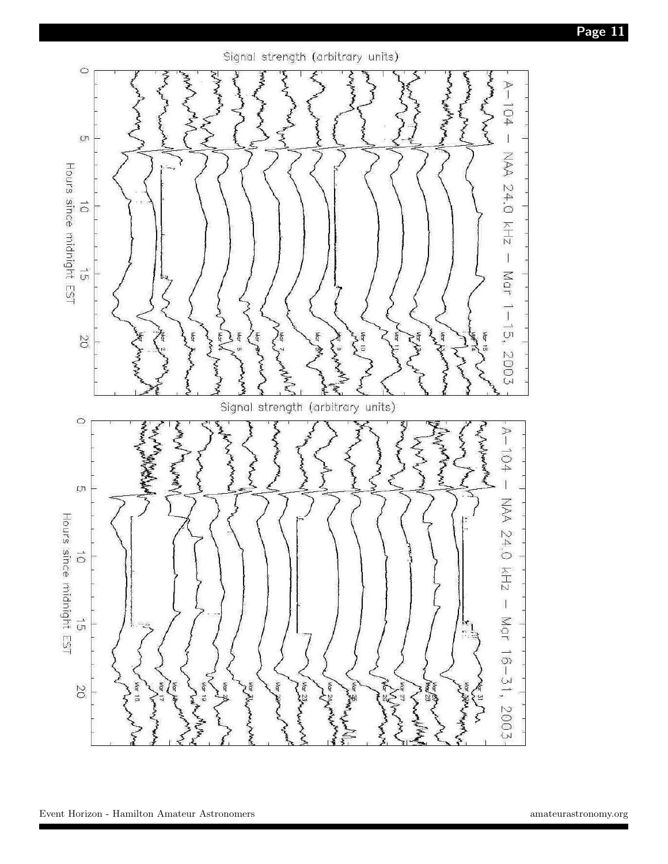